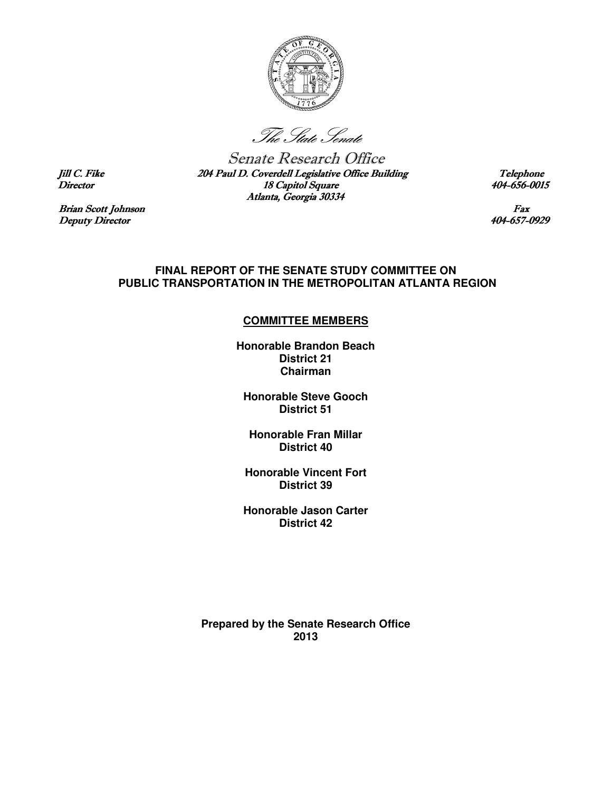

The State Senate

Senate Research Office Jill C. Fike 204 Paul D. Coverdell Legislative Office Building Telephone<br>Director 18 Capitol Square Building Building Director Director 18 Capitol Square Atlanta, Georgia 30334

Brian Scott Johnson Fax<br>
Deputy Director 19929 Deputy Director

#### **FINAL REPORT OF THE SENATE STUDY COMMITTEE ON PUBLIC TRANSPORTATION IN THE METROPOLITAN ATLANTA REGION**

### **COMMITTEE MEMBERS**

**Honorable Brandon Beach District 21 Chairman** 

**Honorable Steve Gooch District 51** 

**Honorable Fran Millar District 40** 

**Honorable Vincent Fort District 39** 

**Honorable Jason Carter District 42** 

**Prepared by the Senate Research Office 2013**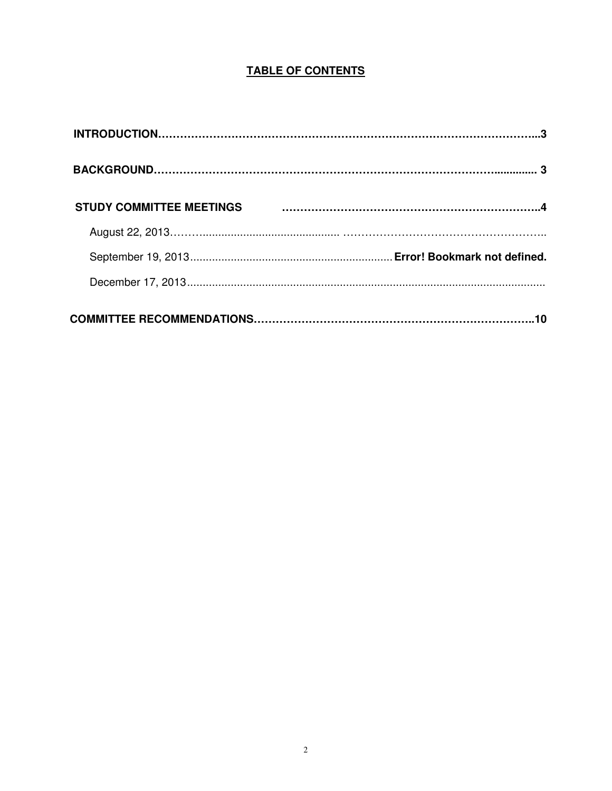# **TABLE OF CONTENTS**

| <b>STUDY COMMITTEE MEETINGS</b> |  |
|---------------------------------|--|
|                                 |  |
|                                 |  |
|                                 |  |
|                                 |  |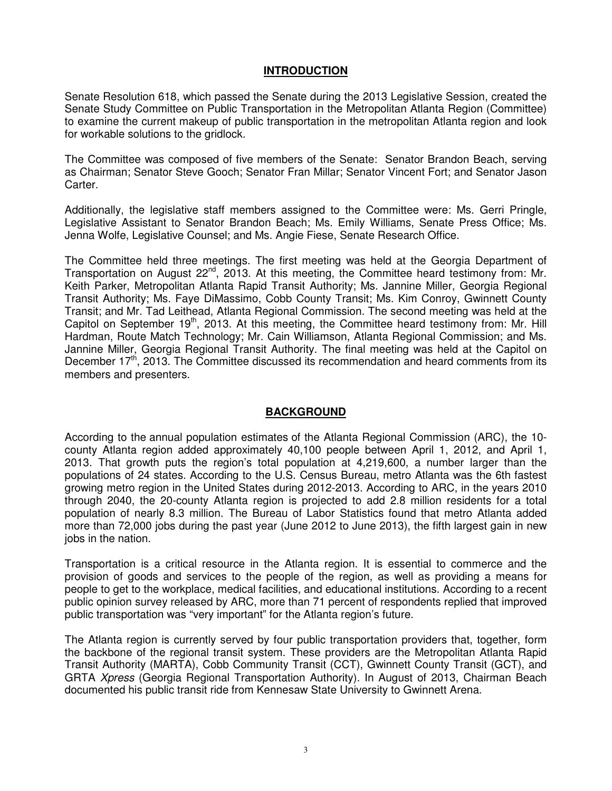## **INTRODUCTION**

Senate Resolution 618, which passed the Senate during the 2013 Legislative Session, created the Senate Study Committee on Public Transportation in the Metropolitan Atlanta Region (Committee) to examine the current makeup of public transportation in the metropolitan Atlanta region and look for workable solutions to the gridlock.

The Committee was composed of five members of the Senate: Senator Brandon Beach, serving as Chairman; Senator Steve Gooch; Senator Fran Millar; Senator Vincent Fort; and Senator Jason Carter.

Additionally, the legislative staff members assigned to the Committee were: Ms. Gerri Pringle, Legislative Assistant to Senator Brandon Beach; Ms. Emily Williams, Senate Press Office; Ms. Jenna Wolfe, Legislative Counsel; and Ms. Angie Fiese, Senate Research Office.

The Committee held three meetings. The first meeting was held at the Georgia Department of Transportation on August 22<sup>nd</sup>, 2013. At this meeting, the Committee heard testimony from: Mr. Keith Parker, Metropolitan Atlanta Rapid Transit Authority; Ms. Jannine Miller, Georgia Regional Transit Authority; Ms. Faye DiMassimo, Cobb County Transit; Ms. Kim Conroy, Gwinnett County Transit; and Mr. Tad Leithead, Atlanta Regional Commission. The second meeting was held at the Capitol on September  $19<sup>th</sup>$ , 2013. At this meeting, the Committee heard testimony from: Mr. Hill Hardman, Route Match Technology; Mr. Cain Williamson, Atlanta Regional Commission; and Ms. Jannine Miller, Georgia Regional Transit Authority. The final meeting was held at the Capitol on December  $17<sup>th</sup>$ , 2013. The Committee discussed its recommendation and heard comments from its members and presenters.

## **BACKGROUND**

According to the annual population estimates of the Atlanta Regional Commission (ARC), the 10 county Atlanta region added approximately 40,100 people between April 1, 2012, and April 1, 2013. That growth puts the region's total population at 4,219,600, a number larger than the populations of 24 states. According to the U.S. Census Bureau, metro Atlanta was the 6th fastest growing metro region in the United States during 2012-2013. According to ARC, in the years 2010 through 2040, the 20-county Atlanta region is projected to add 2.8 million residents for a total population of nearly 8.3 million. The Bureau of Labor Statistics found that metro Atlanta added more than 72,000 jobs during the past year (June 2012 to June 2013), the fifth largest gain in new jobs in the nation.

Transportation is a critical resource in the Atlanta region. It is essential to commerce and the provision of goods and services to the people of the region, as well as providing a means for people to get to the workplace, medical facilities, and educational institutions. According to a recent public opinion survey released by ARC, more than 71 percent of respondents replied that improved public transportation was "very important" for the Atlanta region's future.

The Atlanta region is currently served by four public transportation providers that, together, form the backbone of the regional transit system. These providers are the Metropolitan Atlanta Rapid Transit Authority (MARTA), Cobb Community Transit (CCT), Gwinnett County Transit (GCT), and GRTA Xpress (Georgia Regional Transportation Authority). In August of 2013, Chairman Beach documented his public transit ride from Kennesaw State University to Gwinnett Arena.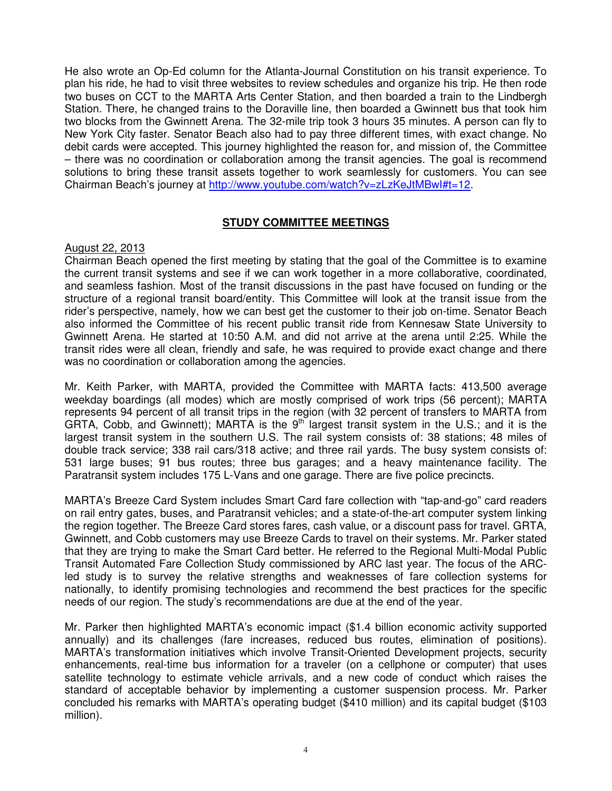He also wrote an Op-Ed column for the Atlanta-Journal Constitution on his transit experience. To plan his ride, he had to visit three websites to review schedules and organize his trip. He then rode two buses on CCT to the MARTA Arts Center Station, and then boarded a train to the Lindbergh Station. There, he changed trains to the Doraville line, then boarded a Gwinnett bus that took him two blocks from the Gwinnett Arena. The 32-mile trip took 3 hours 35 minutes. A person can fly to New York City faster. Senator Beach also had to pay three different times, with exact change. No debit cards were accepted. This journey highlighted the reason for, and mission of, the Committee – there was no coordination or collaboration among the transit agencies. The goal is recommend solutions to bring these transit assets together to work seamlessly for customers. You can see Chairman Beach's journey at http://www.youtube.com/watch?v=zLzKeJtMBwI#t=12.

## **STUDY COMMITTEE MEETINGS**

### August 22, 2013

Chairman Beach opened the first meeting by stating that the goal of the Committee is to examine the current transit systems and see if we can work together in a more collaborative, coordinated, and seamless fashion. Most of the transit discussions in the past have focused on funding or the structure of a regional transit board/entity. This Committee will look at the transit issue from the rider's perspective, namely, how we can best get the customer to their job on-time. Senator Beach also informed the Committee of his recent public transit ride from Kennesaw State University to Gwinnett Arena. He started at 10:50 A.M. and did not arrive at the arena until 2:25. While the transit rides were all clean, friendly and safe, he was required to provide exact change and there was no coordination or collaboration among the agencies.

Mr. Keith Parker, with MARTA, provided the Committee with MARTA facts: 413,500 average weekday boardings (all modes) which are mostly comprised of work trips (56 percent); MARTA represents 94 percent of all transit trips in the region (with 32 percent of transfers to MARTA from GRTA, Cobb, and Gwinnett); MARTA is the  $9<sup>th</sup>$  largest transit system in the U.S.; and it is the largest transit system in the southern U.S. The rail system consists of: 38 stations; 48 miles of double track service; 338 rail cars/318 active; and three rail yards. The busy system consists of: 531 large buses; 91 bus routes; three bus garages; and a heavy maintenance facility. The Paratransit system includes 175 L-Vans and one garage. There are five police precincts.

MARTA's Breeze Card System includes Smart Card fare collection with "tap-and-go" card readers on rail entry gates, buses, and Paratransit vehicles; and a state-of-the-art computer system linking the region together. The Breeze Card stores fares, cash value, or a discount pass for travel. GRTA, Gwinnett, and Cobb customers may use Breeze Cards to travel on their systems. Mr. Parker stated that they are trying to make the Smart Card better. He referred to the Regional Multi-Modal Public Transit Automated Fare Collection Study commissioned by ARC last year. The focus of the ARCled study is to survey the relative strengths and weaknesses of fare collection systems for nationally, to identify promising technologies and recommend the best practices for the specific needs of our region. The study's recommendations are due at the end of the year.

Mr. Parker then highlighted MARTA's economic impact (\$1.4 billion economic activity supported annually) and its challenges (fare increases, reduced bus routes, elimination of positions). MARTA's transformation initiatives which involve Transit-Oriented Development projects, security enhancements, real-time bus information for a traveler (on a cellphone or computer) that uses satellite technology to estimate vehicle arrivals, and a new code of conduct which raises the standard of acceptable behavior by implementing a customer suspension process. Mr. Parker concluded his remarks with MARTA's operating budget (\$410 million) and its capital budget (\$103 million).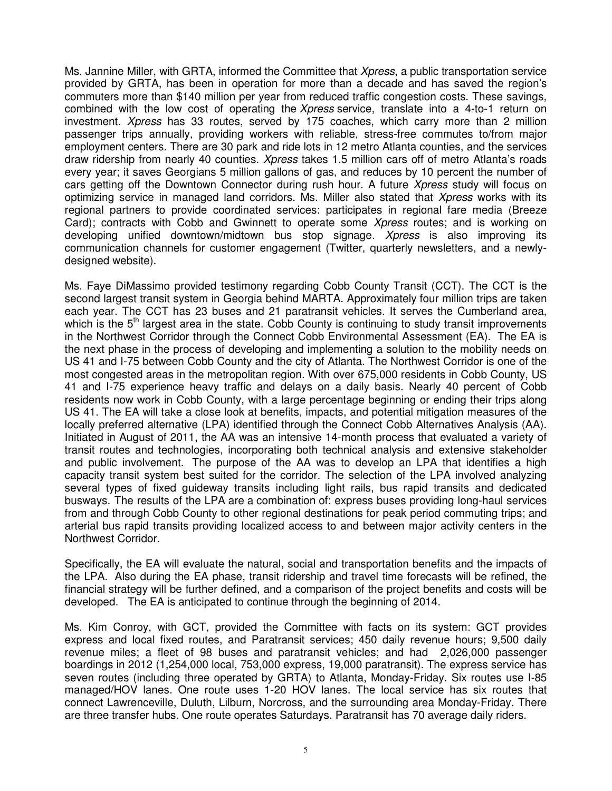Ms. Jannine Miller, with GRTA, informed the Committee that *Xpress*, a public transportation service provided by GRTA, has been in operation for more than a decade and has saved the region's commuters more than \$140 million per year from reduced traffic congestion costs. These savings, combined with the low cost of operating the *Xpress* service, translate into a 4-to-1 return on investment. Xpress has 33 routes, served by 175 coaches, which carry more than 2 million passenger trips annually, providing workers with reliable, stress-free commutes to/from major employment centers. There are 30 park and ride lots in 12 metro Atlanta counties, and the services draw ridership from nearly 40 counties. Xpress takes 1.5 million cars off of metro Atlanta's roads every year; it saves Georgians 5 million gallons of gas, and reduces by 10 percent the number of cars getting off the Downtown Connector during rush hour. A future Xpress study will focus on optimizing service in managed land corridors. Ms. Miller also stated that Xpress works with its regional partners to provide coordinated services: participates in regional fare media (Breeze Card); contracts with Cobb and Gwinnett to operate some *Xpress* routes; and is working on developing unified downtown/midtown bus stop signage. Xpress is also improving its communication channels for customer engagement (Twitter, quarterly newsletters, and a newlydesigned website).

Ms. Faye DiMassimo provided testimony regarding Cobb County Transit (CCT). The CCT is the second largest transit system in Georgia behind MARTA. Approximately four million trips are taken each year. The CCT has 23 buses and 21 paratransit vehicles. It serves the Cumberland area, which is the  $5<sup>th</sup>$  largest area in the state. Cobb County is continuing to study transit improvements in the Northwest Corridor through the Connect Cobb Environmental Assessment (EA). The EA is the next phase in the process of developing and implementing a solution to the mobility needs on US 41 and I-75 between Cobb County and the city of Atlanta. The Northwest Corridor is one of the most congested areas in the metropolitan region. With over 675,000 residents in Cobb County, US 41 and I-75 experience heavy traffic and delays on a daily basis. Nearly 40 percent of Cobb residents now work in Cobb County, with a large percentage beginning or ending their trips along US 41. The EA will take a close look at benefits, impacts, and potential mitigation measures of the locally preferred alternative (LPA) identified through the Connect Cobb Alternatives Analysis (AA). Initiated in August of 2011, the AA was an intensive 14-month process that evaluated a variety of transit routes and technologies, incorporating both technical analysis and extensive stakeholder and public involvement. The purpose of the AA was to develop an LPA that identifies a high capacity transit system best suited for the corridor. The selection of the LPA involved analyzing several types of fixed guideway transits including light rails, bus rapid transits and dedicated busways. The results of the LPA are a combination of: express buses providing long-haul services from and through Cobb County to other regional destinations for peak period commuting trips; and arterial bus rapid transits providing localized access to and between major activity centers in the Northwest Corridor.

Specifically, the EA will evaluate the natural, social and transportation benefits and the impacts of the LPA. Also during the EA phase, transit ridership and travel time forecasts will be refined, the financial strategy will be further defined, and a comparison of the project benefits and costs will be developed. The EA is anticipated to continue through the beginning of 2014.

Ms. Kim Conroy, with GCT, provided the Committee with facts on its system: GCT provides express and local fixed routes, and Paratransit services; 450 daily revenue hours; 9,500 daily revenue miles; a fleet of 98 buses and paratransit vehicles; and had 2,026,000 passenger boardings in 2012 (1,254,000 local, 753,000 express, 19,000 paratransit). The express service has seven routes (including three operated by GRTA) to Atlanta, Monday-Friday. Six routes use I-85 managed/HOV lanes. One route uses 1-20 HOV lanes. The local service has six routes that connect Lawrenceville, Duluth, Lilburn, Norcross, and the surrounding area Monday-Friday. There are three transfer hubs. One route operates Saturdays. Paratransit has 70 average daily riders.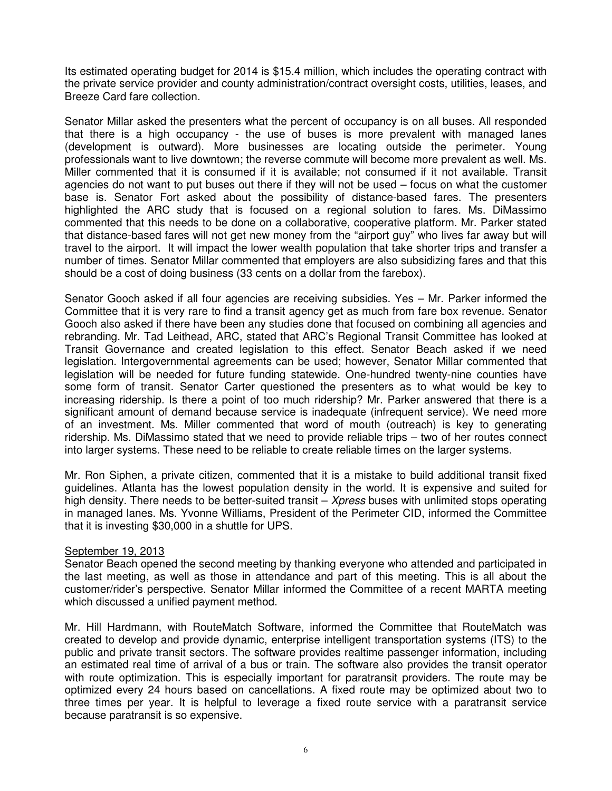Its estimated operating budget for 2014 is \$15.4 million, which includes the operating contract with the private service provider and county administration/contract oversight costs, utilities, leases, and Breeze Card fare collection.

Senator Millar asked the presenters what the percent of occupancy is on all buses. All responded that there is a high occupancy - the use of buses is more prevalent with managed lanes (development is outward). More businesses are locating outside the perimeter. Young professionals want to live downtown; the reverse commute will become more prevalent as well. Ms. Miller commented that it is consumed if it is available; not consumed if it not available. Transit agencies do not want to put buses out there if they will not be used – focus on what the customer base is. Senator Fort asked about the possibility of distance-based fares. The presenters highlighted the ARC study that is focused on a regional solution to fares. Ms. DiMassimo commented that this needs to be done on a collaborative, cooperative platform. Mr. Parker stated that distance-based fares will not get new money from the "airport guy" who lives far away but will travel to the airport. It will impact the lower wealth population that take shorter trips and transfer a number of times. Senator Millar commented that employers are also subsidizing fares and that this should be a cost of doing business (33 cents on a dollar from the farebox).

Senator Gooch asked if all four agencies are receiving subsidies. Yes – Mr. Parker informed the Committee that it is very rare to find a transit agency get as much from fare box revenue. Senator Gooch also asked if there have been any studies done that focused on combining all agencies and rebranding. Mr. Tad Leithead, ARC, stated that ARC's Regional Transit Committee has looked at Transit Governance and created legislation to this effect. Senator Beach asked if we need legislation. Intergovernmental agreements can be used; however, Senator Millar commented that legislation will be needed for future funding statewide. One-hundred twenty-nine counties have some form of transit. Senator Carter questioned the presenters as to what would be key to increasing ridership. Is there a point of too much ridership? Mr. Parker answered that there is a significant amount of demand because service is inadequate (infrequent service). We need more of an investment. Ms. Miller commented that word of mouth (outreach) is key to generating ridership. Ms. DiMassimo stated that we need to provide reliable trips – two of her routes connect into larger systems. These need to be reliable to create reliable times on the larger systems.

Mr. Ron Siphen, a private citizen, commented that it is a mistake to build additional transit fixed guidelines. Atlanta has the lowest population density in the world. It is expensive and suited for high density. There needs to be better-suited transit – Xpress buses with unlimited stops operating in managed lanes. Ms. Yvonne Williams, President of the Perimeter CID, informed the Committee that it is investing \$30,000 in a shuttle for UPS.

#### September 19, 2013

Senator Beach opened the second meeting by thanking everyone who attended and participated in the last meeting, as well as those in attendance and part of this meeting. This is all about the customer/rider's perspective. Senator Millar informed the Committee of a recent MARTA meeting which discussed a unified payment method.

Mr. Hill Hardmann, with RouteMatch Software, informed the Committee that RouteMatch was created to develop and provide dynamic, enterprise intelligent transportation systems (ITS) to the public and private transit sectors. The software provides realtime passenger information, including an estimated real time of arrival of a bus or train. The software also provides the transit operator with route optimization. This is especially important for paratransit providers. The route may be optimized every 24 hours based on cancellations. A fixed route may be optimized about two to three times per year. It is helpful to leverage a fixed route service with a paratransit service because paratransit is so expensive.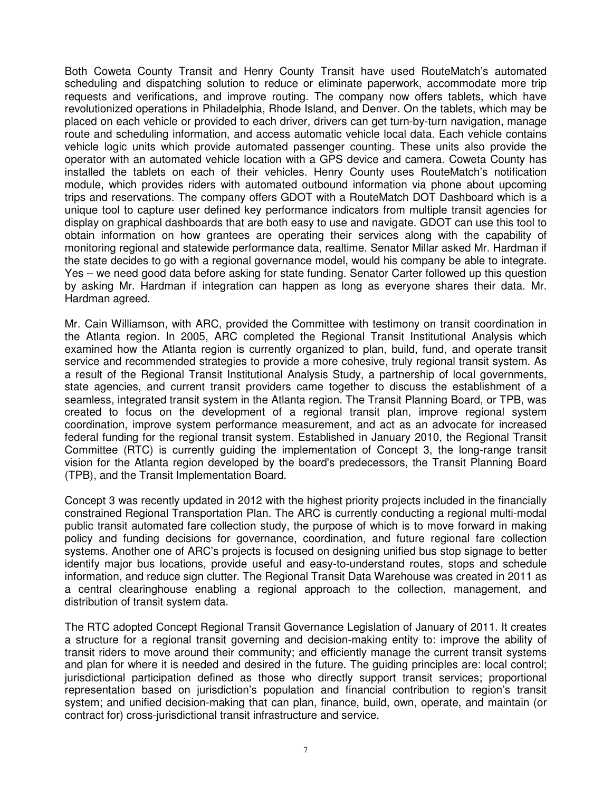Both Coweta County Transit and Henry County Transit have used RouteMatch's automated scheduling and dispatching solution to reduce or eliminate paperwork, accommodate more trip requests and verifications, and improve routing. The company now offers tablets, which have revolutionized operations in Philadelphia, Rhode Island, and Denver. On the tablets, which may be placed on each vehicle or provided to each driver, drivers can get turn-by-turn navigation, manage route and scheduling information, and access automatic vehicle local data. Each vehicle contains vehicle logic units which provide automated passenger counting. These units also provide the operator with an automated vehicle location with a GPS device and camera. Coweta County has installed the tablets on each of their vehicles. Henry County uses RouteMatch's notification module, which provides riders with automated outbound information via phone about upcoming trips and reservations. The company offers GDOT with a RouteMatch DOT Dashboard which is a unique tool to capture user defined key performance indicators from multiple transit agencies for display on graphical dashboards that are both easy to use and navigate. GDOT can use this tool to obtain information on how grantees are operating their services along with the capability of monitoring regional and statewide performance data, realtime. Senator Millar asked Mr. Hardman if the state decides to go with a regional governance model, would his company be able to integrate. Yes – we need good data before asking for state funding. Senator Carter followed up this question by asking Mr. Hardman if integration can happen as long as everyone shares their data. Mr. Hardman agreed.

Mr. Cain Williamson, with ARC, provided the Committee with testimony on transit coordination in the Atlanta region. In 2005, ARC completed the Regional Transit Institutional Analysis which examined how the Atlanta region is currently organized to plan, build, fund, and operate transit service and recommended strategies to provide a more cohesive, truly regional transit system. As a result of the Regional Transit Institutional Analysis Study, a partnership of local governments, state agencies, and current transit providers came together to discuss the establishment of a seamless, integrated transit system in the Atlanta region. The Transit Planning Board, or TPB, was created to focus on the development of a regional transit plan, improve regional system coordination, improve system performance measurement, and act as an advocate for increased federal funding for the regional transit system. Established in January 2010, the Regional Transit Committee (RTC) is currently guiding the implementation of Concept 3, the long-range transit vision for the Atlanta region developed by the board's predecessors, the Transit Planning Board (TPB), and the Transit Implementation Board.

Concept 3 was recently updated in 2012 with the highest priority projects included in the financially constrained Regional Transportation Plan. The ARC is currently conducting a regional multi-modal public transit automated fare collection study, the purpose of which is to move forward in making policy and funding decisions for governance, coordination, and future regional fare collection systems. Another one of ARC's projects is focused on designing unified bus stop signage to better identify major bus locations, provide useful and easy-to-understand routes, stops and schedule information, and reduce sign clutter. The Regional Transit Data Warehouse was created in 2011 as a central clearinghouse enabling a regional approach to the collection, management, and distribution of transit system data.

The RTC adopted Concept Regional Transit Governance Legislation of January of 2011. It creates a structure for a regional transit governing and decision-making entity to: improve the ability of transit riders to move around their community; and efficiently manage the current transit systems and plan for where it is needed and desired in the future. The guiding principles are: local control; jurisdictional participation defined as those who directly support transit services; proportional representation based on jurisdiction's population and financial contribution to region's transit system; and unified decision-making that can plan, finance, build, own, operate, and maintain (or contract for) cross-jurisdictional transit infrastructure and service.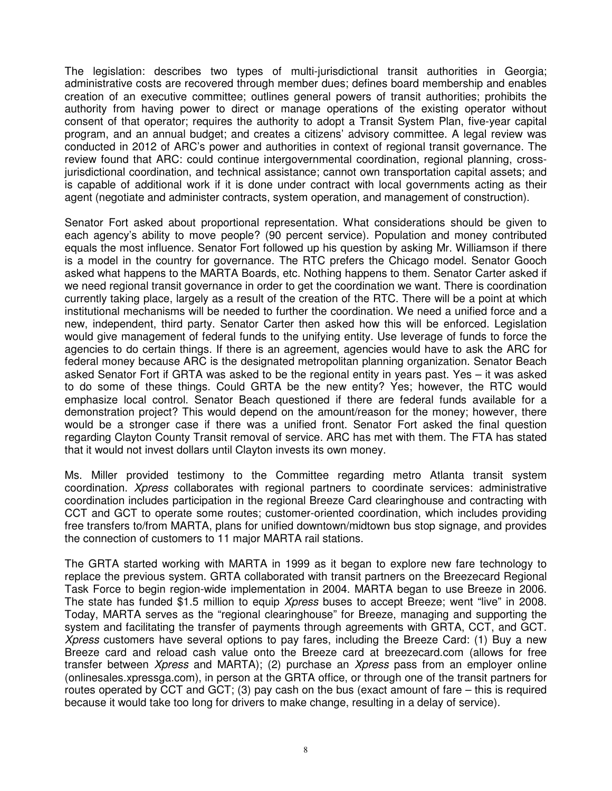The legislation: describes two types of multi-jurisdictional transit authorities in Georgia; administrative costs are recovered through member dues; defines board membership and enables creation of an executive committee; outlines general powers of transit authorities; prohibits the authority from having power to direct or manage operations of the existing operator without consent of that operator; requires the authority to adopt a Transit System Plan, five-year capital program, and an annual budget; and creates a citizens' advisory committee. A legal review was conducted in 2012 of ARC's power and authorities in context of regional transit governance. The review found that ARC: could continue intergovernmental coordination, regional planning, crossjurisdictional coordination, and technical assistance; cannot own transportation capital assets; and is capable of additional work if it is done under contract with local governments acting as their agent (negotiate and administer contracts, system operation, and management of construction).

Senator Fort asked about proportional representation. What considerations should be given to each agency's ability to move people? (90 percent service). Population and money contributed equals the most influence. Senator Fort followed up his question by asking Mr. Williamson if there is a model in the country for governance. The RTC prefers the Chicago model. Senator Gooch asked what happens to the MARTA Boards, etc. Nothing happens to them. Senator Carter asked if we need regional transit governance in order to get the coordination we want. There is coordination currently taking place, largely as a result of the creation of the RTC. There will be a point at which institutional mechanisms will be needed to further the coordination. We need a unified force and a new, independent, third party. Senator Carter then asked how this will be enforced. Legislation would give management of federal funds to the unifying entity. Use leverage of funds to force the agencies to do certain things. If there is an agreement, agencies would have to ask the ARC for federal money because ARC is the designated metropolitan planning organization. Senator Beach asked Senator Fort if GRTA was asked to be the regional entity in years past. Yes – it was asked to do some of these things. Could GRTA be the new entity? Yes; however, the RTC would emphasize local control. Senator Beach questioned if there are federal funds available for a demonstration project? This would depend on the amount/reason for the money; however, there would be a stronger case if there was a unified front. Senator Fort asked the final question regarding Clayton County Transit removal of service. ARC has met with them. The FTA has stated that it would not invest dollars until Clayton invests its own money.

Ms. Miller provided testimony to the Committee regarding metro Atlanta transit system coordination. Xpress collaborates with regional partners to coordinate services: administrative coordination includes participation in the regional Breeze Card clearinghouse and contracting with CCT and GCT to operate some routes; customer-oriented coordination, which includes providing free transfers to/from MARTA, plans for unified downtown/midtown bus stop signage, and provides the connection of customers to 11 major MARTA rail stations.

The GRTA started working with MARTA in 1999 as it began to explore new fare technology to replace the previous system. GRTA collaborated with transit partners on the Breezecard Regional Task Force to begin region-wide implementation in 2004. MARTA began to use Breeze in 2006. The state has funded \$1.5 million to equip *Xpress* buses to accept Breeze; went "live" in 2008. Today, MARTA serves as the "regional clearinghouse" for Breeze, managing and supporting the system and facilitating the transfer of payments through agreements with GRTA, CCT, and GCT. Xpress customers have several options to pay fares, including the Breeze Card: (1) Buy a new Breeze card and reload cash value onto the Breeze card at breezecard.com (allows for free transfer between Xpress and MARTA); (2) purchase an Xpress pass from an employer online (onlinesales.xpressga.com), in person at the GRTA office, or through one of the transit partners for routes operated by CCT and GCT; (3) pay cash on the bus (exact amount of fare – this is required because it would take too long for drivers to make change, resulting in a delay of service).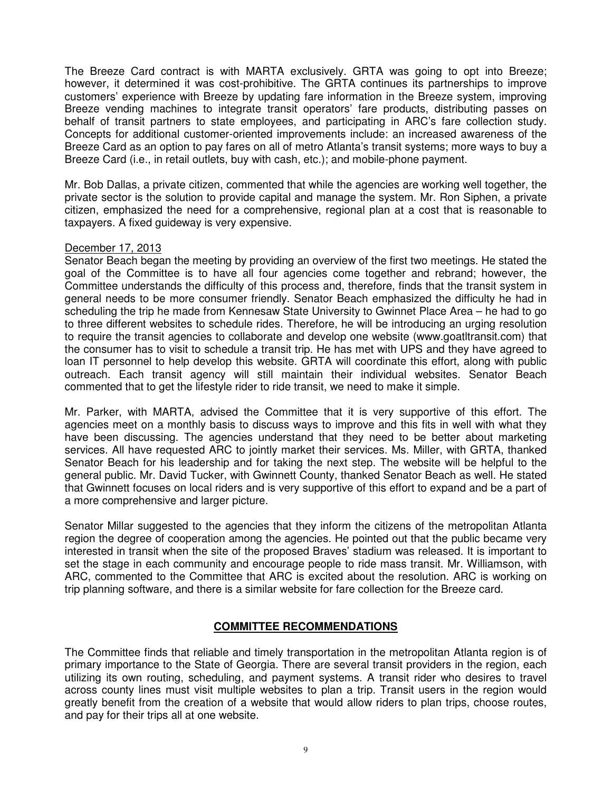The Breeze Card contract is with MARTA exclusively. GRTA was going to opt into Breeze; however, it determined it was cost-prohibitive. The GRTA continues its partnerships to improve customers' experience with Breeze by updating fare information in the Breeze system, improving Breeze vending machines to integrate transit operators' fare products, distributing passes on behalf of transit partners to state employees, and participating in ARC's fare collection study. Concepts for additional customer-oriented improvements include: an increased awareness of the Breeze Card as an option to pay fares on all of metro Atlanta's transit systems; more ways to buy a Breeze Card (i.e., in retail outlets, buy with cash, etc.); and mobile-phone payment.

Mr. Bob Dallas, a private citizen, commented that while the agencies are working well together, the private sector is the solution to provide capital and manage the system. Mr. Ron Siphen, a private citizen, emphasized the need for a comprehensive, regional plan at a cost that is reasonable to taxpayers. A fixed guideway is very expensive.

### December 17, 2013

Senator Beach began the meeting by providing an overview of the first two meetings. He stated the goal of the Committee is to have all four agencies come together and rebrand; however, the Committee understands the difficulty of this process and, therefore, finds that the transit system in general needs to be more consumer friendly. Senator Beach emphasized the difficulty he had in scheduling the trip he made from Kennesaw State University to Gwinnet Place Area – he had to go to three different websites to schedule rides. Therefore, he will be introducing an urging resolution to require the transit agencies to collaborate and develop one website (www.goatltransit.com) that the consumer has to visit to schedule a transit trip. He has met with UPS and they have agreed to loan IT personnel to help develop this website. GRTA will coordinate this effort, along with public outreach. Each transit agency will still maintain their individual websites. Senator Beach commented that to get the lifestyle rider to ride transit, we need to make it simple.

Mr. Parker, with MARTA, advised the Committee that it is very supportive of this effort. The agencies meet on a monthly basis to discuss ways to improve and this fits in well with what they have been discussing. The agencies understand that they need to be better about marketing services. All have requested ARC to jointly market their services. Ms. Miller, with GRTA, thanked Senator Beach for his leadership and for taking the next step. The website will be helpful to the general public. Mr. David Tucker, with Gwinnett County, thanked Senator Beach as well. He stated that Gwinnett focuses on local riders and is very supportive of this effort to expand and be a part of a more comprehensive and larger picture.

Senator Millar suggested to the agencies that they inform the citizens of the metropolitan Atlanta region the degree of cooperation among the agencies. He pointed out that the public became very interested in transit when the site of the proposed Braves' stadium was released. It is important to set the stage in each community and encourage people to ride mass transit. Mr. Williamson, with ARC, commented to the Committee that ARC is excited about the resolution. ARC is working on trip planning software, and there is a similar website for fare collection for the Breeze card.

## **COMMITTEE RECOMMENDATIONS**

The Committee finds that reliable and timely transportation in the metropolitan Atlanta region is of primary importance to the State of Georgia. There are several transit providers in the region, each utilizing its own routing, scheduling, and payment systems. A transit rider who desires to travel across county lines must visit multiple websites to plan a trip. Transit users in the region would greatly benefit from the creation of a website that would allow riders to plan trips, choose routes, and pay for their trips all at one website.